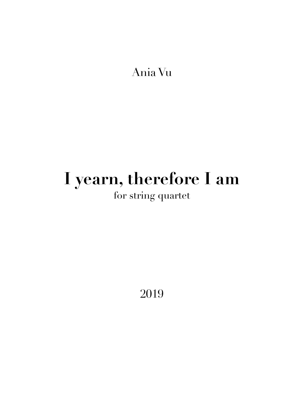Ania Vu

# I yearn, therefore I am

## for string quartet

2019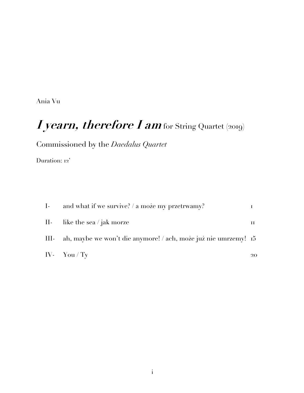Ania Vu

## *I yearn, therefore I am* for String Quartet (2019)

Commissioned by the Daedalus Quartet

Duration: 12'

| $\mathbf{I}$ . | and what if we survive? / a może my przetrwamy?                      |              |
|----------------|----------------------------------------------------------------------|--------------|
|                | II- like the sea / jak morze                                         | $\mathbf{H}$ |
|                | III- ah, maybe we won't die anymore! / ach, może już nie umrzemy! 15 |              |
|                | IV-You/Ty                                                            | 20           |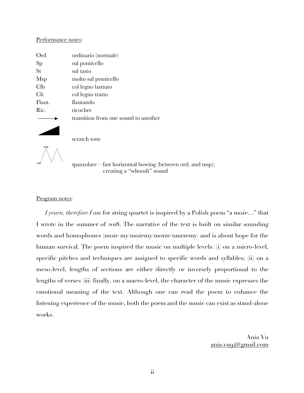### Performance notes:

| Ord       | ordinario (normale)                                         |
|-----------|-------------------------------------------------------------|
| Sp        | sul ponticello                                              |
| <b>St</b> | sul tasto                                                   |
| Msp       | molto sul ponticello                                        |
| Clb       | col legno battuto                                           |
| Clt       | col legno tratto                                            |
| Flaut.    | flautando                                                   |
| Ric.      | ricochet                                                    |
|           | transition from one sound to another                        |
|           | scratch tone                                                |
| msp       |                                                             |
| ord       | spazzolare – fast horizontal bowing (between ord. and msp); |

## Program notes:

*I yearn, therefore I am* for string quartet is inspired by a Polish poem "a może…" that I wrote in the summer of 2018. The narrative of the text is built on similar sounding words and homophones (może my/możemy/morze/umrzemy) and is about hope for the human survival. The poem inspired the music on multiple levels: (i) on a micro-level, specific pitches and techniques are assigned to specific words and syllables; (ii) on a meso-level, lengths of sections are either directly or inversely proportional to the lengths of verses (iii) finally, on a macro-level, the character of the music expresses the emotional meaning of the text. Although one can read the poem to enhance the listening experience of the music, both the poem and the music can exist as stand-alone works.

creating a "whoosh" sound

Ania Vu ania.vu94@gmail.com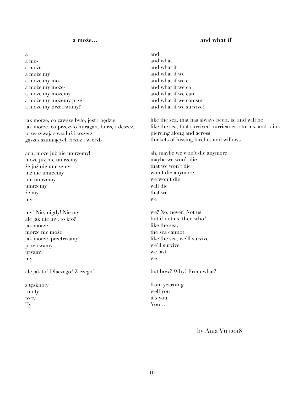### **a może…**

#### a

a moa może a może my a może my moa może my możea może my możemy a może my możemy przea może my przetrwamy?

jak morze, co zawsze było, jest i będzie jak morze, co przeżyło huragan, burzę i deszcz, przeszywając wzdłuż i wszerz gąszcz szumiących brzóz i wierzb

ach, może już nie umrzemy! może już nie umrzemy że już nie umrzemy już nie umrzemy nie umrzemy umrzemy że my my

my? Nie, nigdy! Nie my! ale jak nie my, to kto? jak morze, morze nie może jak morze, przetrwamy przetrwamy trwamy my

ale jak to? Dlaczego? Z czego?

z tęsknoty -no ty to ty  $Ty\ldots$ 

### **and what if**

and and what and what if and what if we and what if we c and what if we ca and what if we can and what if we can surand what if we survive?

like the sea, that has always been, is, and will be like the sea, that survived hurricanes, storms, and rains piercing along and across thickets of hissing birches and willows

ah, maybe we won't die anymore! maybe we won't die that we won't die won't die anymore we won't die will die that we we

we? No, never! Not us! but if not us, then who? like the sea, the sea cannot like the sea, we'll survive we'll survive we last we

but how? Why? From what?

from yearning well you it's you You….

by Ania Vu (2018)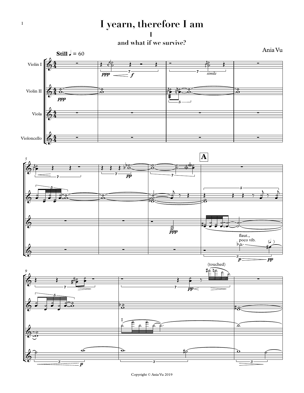## **I yearn, therefore I am**

1

**I**

**and what if we survive?**

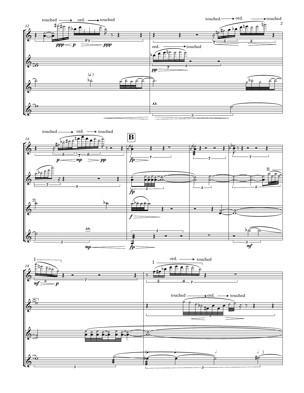



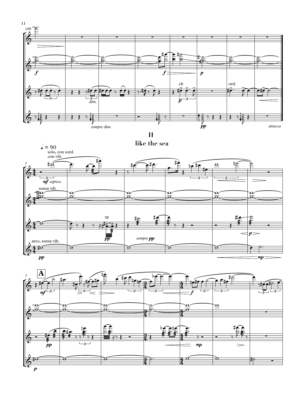

 $\mathbf{I}$ 



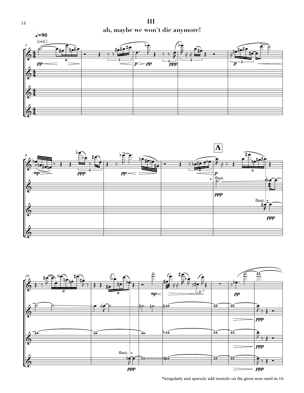





\*irregularly and sparsely add tremolo on the given note until m.16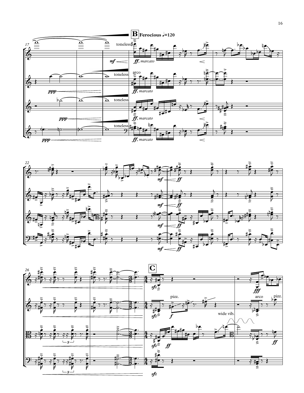



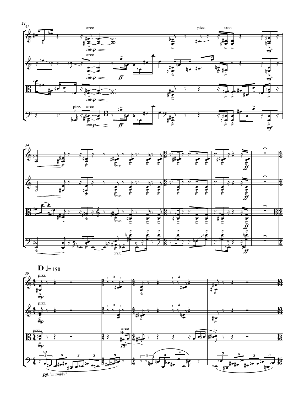





 $pp$ ,"mumbly"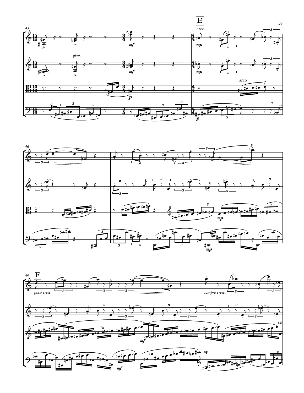



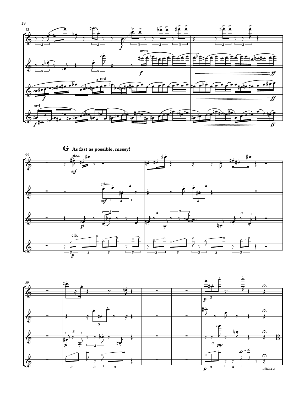